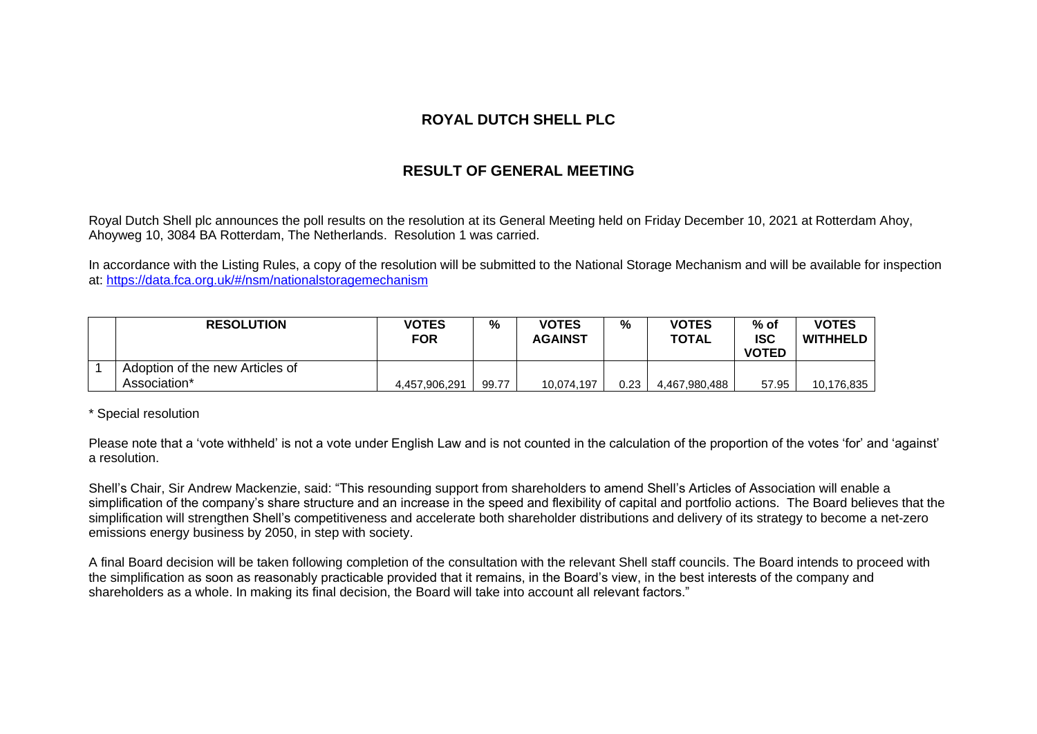## **ROYAL DUTCH SHELL PLC**

## **RESULT OF GENERAL MEETING**

Royal Dutch Shell plc announces the poll results on the resolution at its General Meeting held on Friday December 10, 2021 at Rotterdam Ahoy, Ahoyweg 10, 3084 BA Rotterdam, The Netherlands. Resolution 1 was carried.

In accordance with the Listing Rules, a copy of the resolution will be submitted to the National Storage Mechanism and will be available for inspection at: <https://data.fca.org.uk/#/nsm/nationalstoragemechanism>

| <b>RESOLUTION</b>               | <b>VOTES</b><br><b>FOR</b> | %     | <b>VOTES</b><br><b>AGAINST</b> | %    | <b>VOTES</b><br><b>TOTAL</b> | $%$ of<br><b>ISC</b><br><b>VOTED</b> | <b>VOTES</b><br><b>WITHHELD</b> |
|---------------------------------|----------------------------|-------|--------------------------------|------|------------------------------|--------------------------------------|---------------------------------|
| Adoption of the new Articles of |                            |       |                                |      |                              |                                      |                                 |
| Association*                    | 4,457,906,291              | 99.77 | 10.074.197                     | 0.23 | 4.467.980.488                | 57.95                                | 10,176,835                      |

\* Special resolution

Please note that a 'vote withheld' is not a vote under English Law and is not counted in the calculation of the proportion of the votes 'for' and 'against' a resolution.

Shell's Chair, Sir Andrew Mackenzie, said: "This resounding support from shareholders to amend Shell's Articles of Association will enable a simplification of the company's share structure and an increase in the speed and flexibility of capital and portfolio actions. The Board believes that the simplification will strengthen Shell's competitiveness and accelerate both shareholder distributions and delivery of its strategy to become a net-zero emissions energy business by 2050, in step with society.

A final Board decision will be taken following completion of the consultation with the relevant Shell staff councils. The Board intends to proceed with the simplification as soon as reasonably practicable provided that it remains, in the Board's view, in the best interests of the company and shareholders as a whole. In making its final decision, the Board will take into account all relevant factors."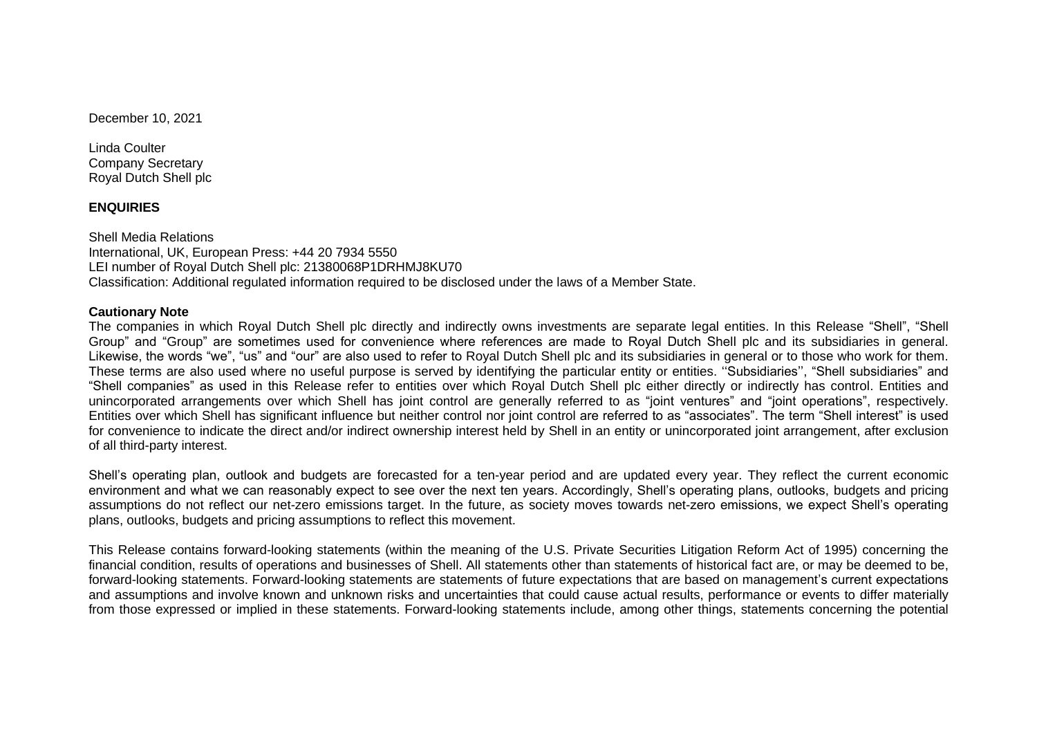December 10, 2021

Linda Coulter Company Secretary Royal Dutch Shell plc

## **ENQUIRIES**

Shell Media Relations International, UK, European Press: +44 20 7934 5550 LEI number of Royal Dutch Shell plc: 21380068P1DRHMJ8KU70 Classification: Additional regulated information required to be disclosed under the laws of a Member State.

## **Cautionary Note**

The companies in which Royal Dutch Shell plc directly and indirectly owns investments are separate legal entities. In this Release "Shell", "Shell Group" and "Group" are sometimes used for convenience where references are made to Royal Dutch Shell plc and its subsidiaries in general. Likewise, the words "we", "us" and "our" are also used to refer to Royal Dutch Shell plc and its subsidiaries in general or to those who work for them. These terms are also used where no useful purpose is served by identifying the particular entity or entities. ''Subsidiaries'', "Shell subsidiaries" and "Shell companies" as used in this Release refer to entities over which Royal Dutch Shell plc either directly or indirectly has control. Entities and unincorporated arrangements over which Shell has joint control are generally referred to as "joint ventures" and "joint operations", respectively. Entities over which Shell has significant influence but neither control nor joint control are referred to as "associates". The term "Shell interest" is used for convenience to indicate the direct and/or indirect ownership interest held by Shell in an entity or unincorporated joint arrangement, after exclusion of all third-party interest.

Shell's operating plan, outlook and budgets are forecasted for a ten-year period and are updated every year. They reflect the current economic environment and what we can reasonably expect to see over the next ten years. Accordingly, Shell's operating plans, outlooks, budgets and pricing assumptions do not reflect our net-zero emissions target. In the future, as society moves towards net-zero emissions, we expect Shell's operating plans, outlooks, budgets and pricing assumptions to reflect this movement.

This Release contains forward-looking statements (within the meaning of the U.S. Private Securities Litigation Reform Act of 1995) concerning the financial condition, results of operations and businesses of Shell. All statements other than statements of historical fact are, or may be deemed to be, forward-looking statements. Forward-looking statements are statements of future expectations that are based on management's current expectations and assumptions and involve known and unknown risks and uncertainties that could cause actual results, performance or events to differ materially from those expressed or implied in these statements. Forward-looking statements include, among other things, statements concerning the potential